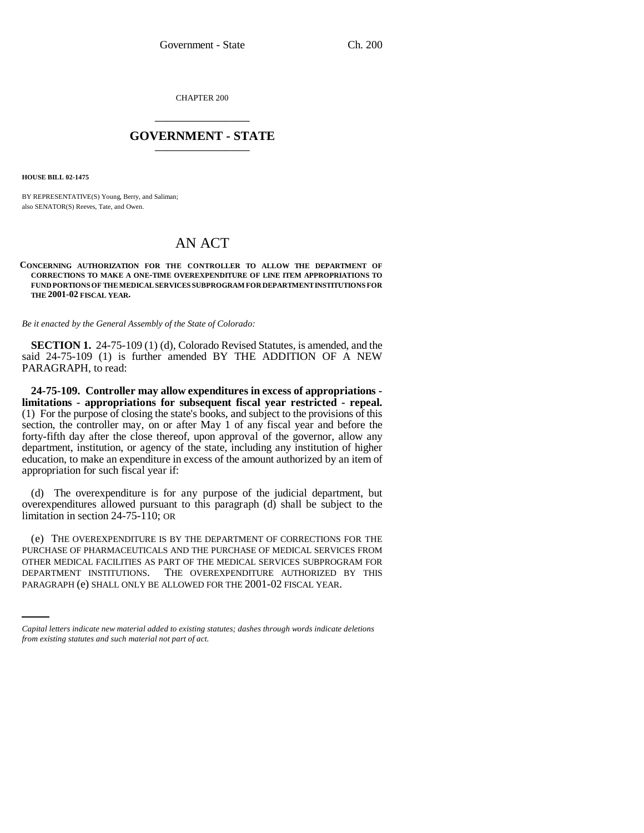CHAPTER 200 \_\_\_\_\_\_\_\_\_\_\_\_\_\_\_

## **GOVERNMENT - STATE** \_\_\_\_\_\_\_\_\_\_\_\_\_\_\_

**HOUSE BILL 02-1475**

BY REPRESENTATIVE(S) Young, Berry, and Saliman; also SENATOR(S) Reeves, Tate, and Owen.

## AN ACT

## **CONCERNING AUTHORIZATION FOR THE CONTROLLER TO ALLOW THE DEPARTMENT OF CORRECTIONS TO MAKE A ONE-TIME OVEREXPENDITURE OF LINE ITEM APPROPRIATIONS TO FUND PORTIONS OF THE MEDICAL SERVICES SUBPROGRAM FOR DEPARTMENT INSTITUTIONS FOR THE 2001-02 FISCAL YEAR.**

*Be it enacted by the General Assembly of the State of Colorado:*

**SECTION 1.** 24-75-109 (1) (d), Colorado Revised Statutes, is amended, and the said 24-75-109 (1) is further amended BY THE ADDITION OF A NEW PARAGRAPH, to read:

**24-75-109. Controller may allow expenditures in excess of appropriations limitations - appropriations for subsequent fiscal year restricted - repeal.** (1) For the purpose of closing the state's books, and subject to the provisions of this section, the controller may, on or after May 1 of any fiscal year and before the forty-fifth day after the close thereof, upon approval of the governor, allow any department, institution, or agency of the state, including any institution of higher education, to make an expenditure in excess of the amount authorized by an item of appropriation for such fiscal year if:

(d) The overexpenditure is for any purpose of the judicial department, but overexpenditures allowed pursuant to this paragraph (d) shall be subject to the limitation in section 24-75-110; OR

OTHER MEDICAL FACILITIES AS PART OF THE MEDICAL SERVICES SUBPROGRAM FOR (e) THE OVEREXPENDITURE IS BY THE DEPARTMENT OF CORRECTIONS FOR THE PURCHASE OF PHARMACEUTICALS AND THE PURCHASE OF MEDICAL SERVICES FROM DEPARTMENT INSTITUTIONS. THE OVEREXPENDITURE AUTHORIZED BY THIS PARAGRAPH (e) SHALL ONLY BE ALLOWED FOR THE 2001-02 FISCAL YEAR.

*Capital letters indicate new material added to existing statutes; dashes through words indicate deletions from existing statutes and such material not part of act.*